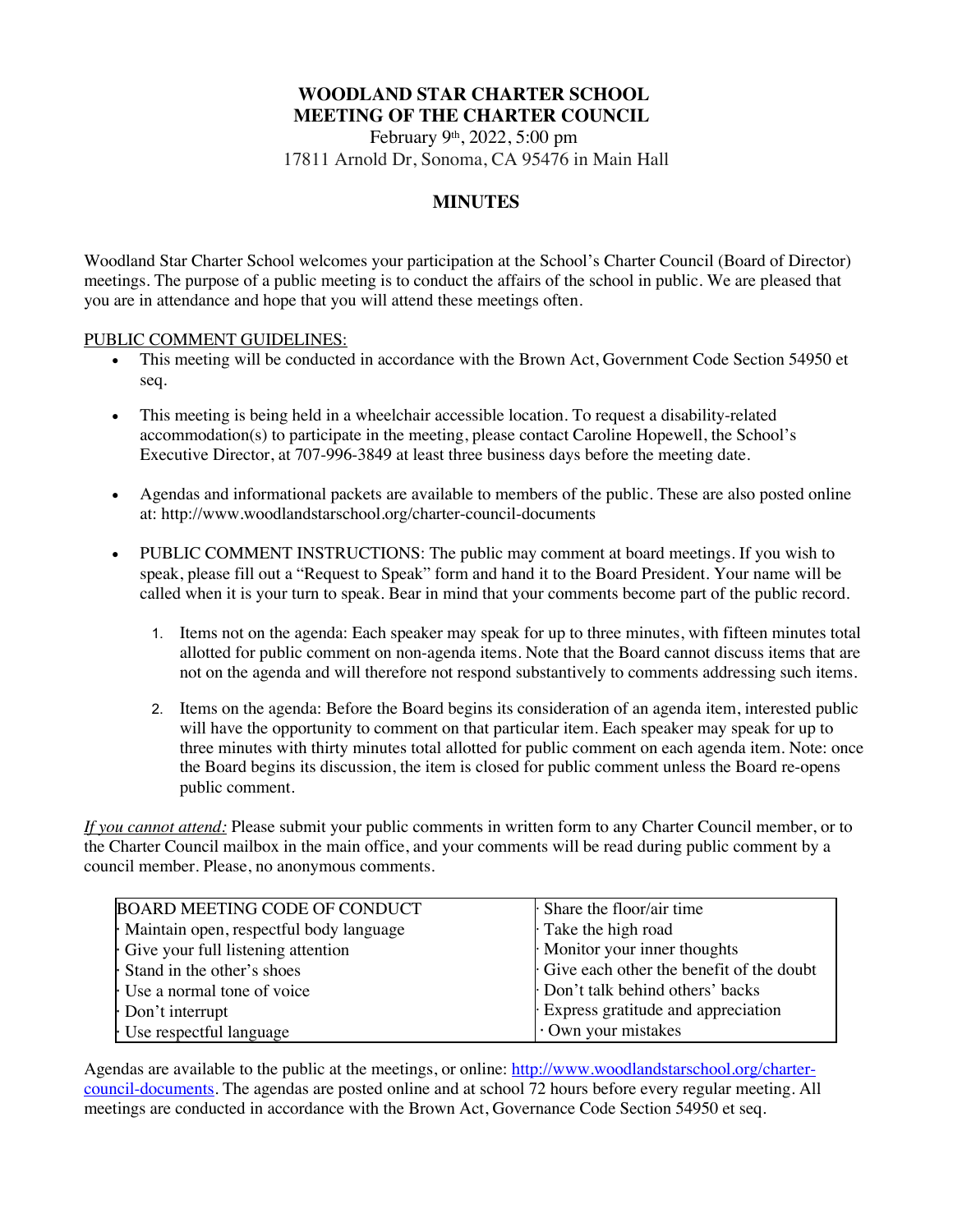# **WOODLAND STAR CHARTER SCHOOL MEETING OF THE CHARTER COUNCIL**

February 9th, 2022, 5:00 pm 17811 Arnold Dr, Sonoma, CA 95476 in Main Hall

# **MINUTES**

Woodland Star Charter School welcomes your participation at the School's Charter Council (Board of Director) meetings. The purpose of a public meeting is to conduct the affairs of the school in public. We are pleased that you are in attendance and hope that you will attend these meetings often.

## PUBLIC COMMENT GUIDELINES:

- This meeting will be conducted in accordance with the Brown Act, Government Code Section 54950 et seq.
- This meeting is being held in a wheelchair accessible location. To request a disability-related accommodation(s) to participate in the meeting, please contact Caroline Hopewell, the School's Executive Director, at 707-996-3849 at least three business days before the meeting date.
- Agendas and informational packets are available to members of the public. These are also posted online at: http://www.woodlandstarschool.org/charter-council-documents
- PUBLIC COMMENT INSTRUCTIONS: The public may comment at board meetings. If you wish to speak, please fill out a "Request to Speak" form and hand it to the Board President. Your name will be called when it is your turn to speak. Bear in mind that your comments become part of the public record.
	- 1. Items not on the agenda: Each speaker may speak for up to three minutes, with fifteen minutes total allotted for public comment on non-agenda items. Note that the Board cannot discuss items that are not on the agenda and will therefore not respond substantively to comments addressing such items.
	- 2. Items on the agenda: Before the Board begins its consideration of an agenda item, interested public will have the opportunity to comment on that particular item. Each speaker may speak for up to three minutes with thirty minutes total allotted for public comment on each agenda item. Note: once the Board begins its discussion, the item is closed for public comment unless the Board re-opens public comment.

*If you cannot attend:* Please submit your public comments in written form to any Charter Council member, or to the Charter Council mailbox in the main office, and your comments will be read during public comment by a council member. Please, no anonymous comments.

| <b>BOARD MEETING CODE OF CONDUCT</b>    | $\cdot$ Share the floor/air time         |
|-----------------------------------------|------------------------------------------|
| Maintain open, respectful body language | Take the high road                       |
| Give your full listening attention      | Monitor your inner thoughts              |
| Stand in the other's shoes              | Give each other the benefit of the doubt |
| Use a normal tone of voice              | Don't talk behind others' backs          |
| Don't interrupt                         | Express gratitude and appreciation       |
| Use respectful language                 | $\cdot$ Own your mistakes                |

Agendas are available to the public at the meetings, or online: http://www.woodlandstarschool.org/chartercouncil-documents. The agendas are posted online and at school 72 hours before every regular meeting. All meetings are conducted in accordance with the Brown Act, Governance Code Section 54950 et seq.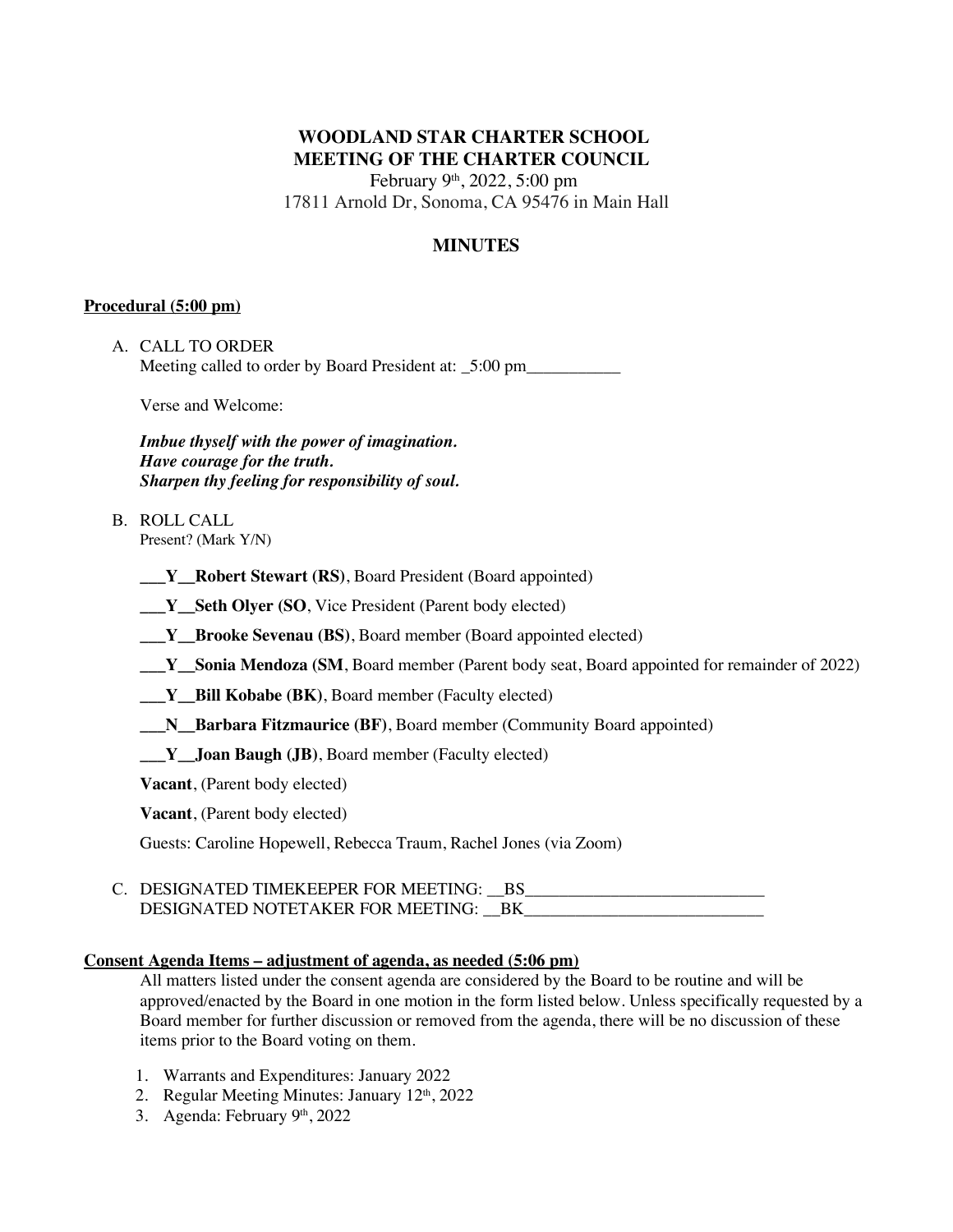# **WOODLAND STAR CHARTER SCHOOL MEETING OF THE CHARTER COUNCIL**

February 9th, 2022, 5:00 pm 17811 Arnold Dr, Sonoma, CA 95476 in Main Hall

# **MINUTES**

## **Procedural (5:00 pm)**

| A.   CALL TO ORDER                                      |
|---------------------------------------------------------|
| Meeting called to order by Board President at: _5:00 pm |

Verse and Welcome:

*Imbue thyself with the power of imagination. Have courage for the truth. Sharpen thy feeling for responsibility of soul.*

- B. ROLL CALL Present? (Mark Y/N)
	- **\_\_\_Y\_\_Robert Stewart (RS)**, Board President (Board appointed)
	- **\_\_\_Y\_\_Seth Olyer (SO**, Vice President (Parent body elected)
	- **\_\_\_Y\_\_Brooke Sevenau (BS)**, Board member (Board appointed elected)
	- **\_\_\_Y\_\_Sonia Mendoza (SM**, Board member (Parent body seat, Board appointed for remainder of 2022)
	- **\_\_\_Y\_\_Bill Kobabe (BK)**, Board member (Faculty elected)
	- **\_\_\_N\_\_Barbara Fitzmaurice (BF)**, Board member (Community Board appointed)
	- **\_\_\_Y\_\_Joan Baugh (JB)**, Board member (Faculty elected)

**Vacant**, (Parent body elected)

**Vacant**, (Parent body elected)

Guests: Caroline Hopewell, Rebecca Traum, Rachel Jones (via Zoom)

C. DESIGNATED TIMEKEEPER FOR MEETING: \_\_BS\_ DESIGNATED NOTETAKER FOR MEETING: BK

## **Consent Agenda Items – adjustment of agenda, as needed (5:06 pm)**

All matters listed under the consent agenda are considered by the Board to be routine and will be approved/enacted by the Board in one motion in the form listed below. Unless specifically requested by a Board member for further discussion or removed from the agenda, there will be no discussion of these items prior to the Board voting on them.

- 1. Warrants and Expenditures: January 2022
- 2. Regular Meeting Minutes: January  $12<sup>th</sup>$ , 2022
- 3. Agenda: February 9th, 2022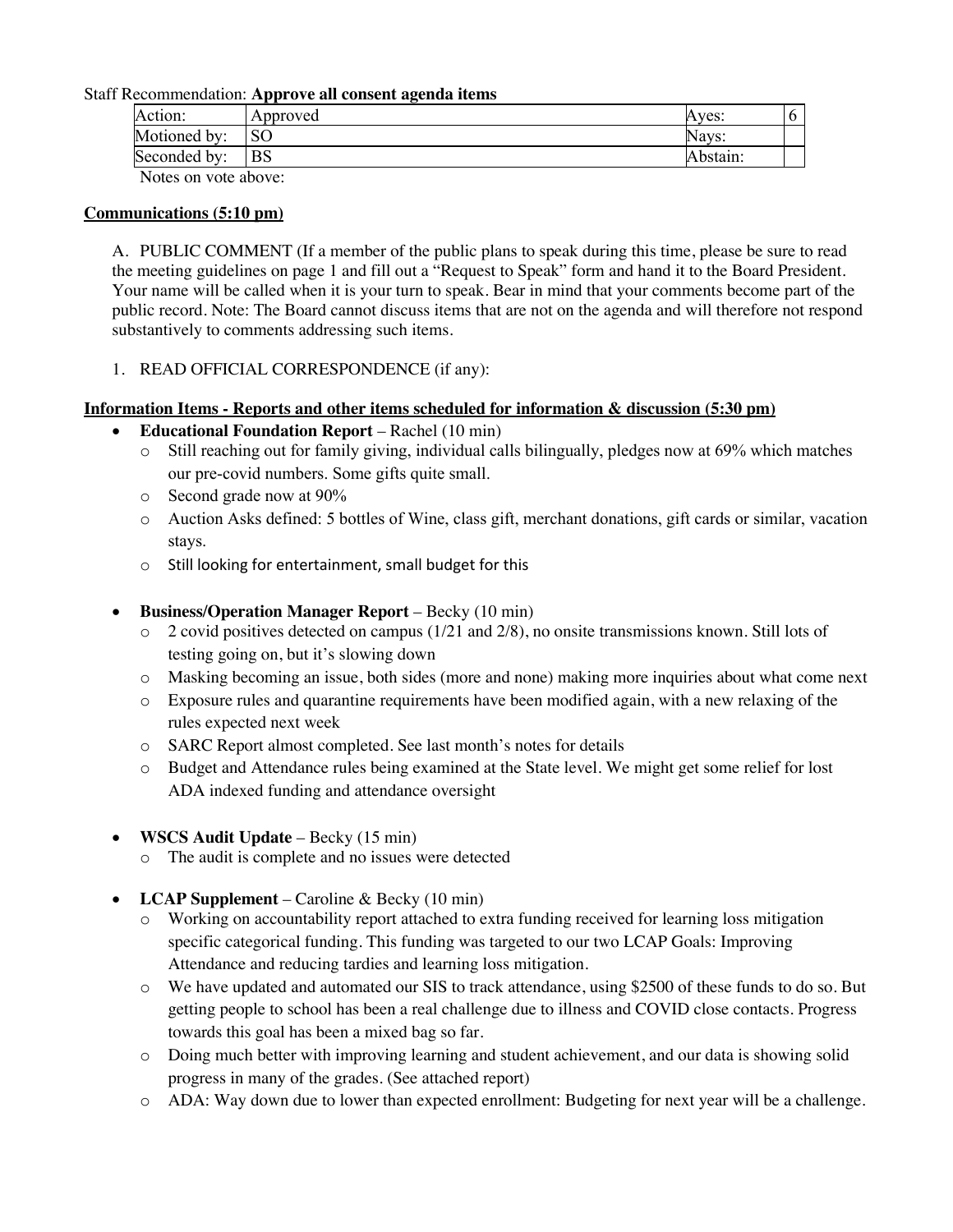#### Staff Recommendation: **Approve all consent agenda items**

| Action:              | Approved      | Aves:    |  |
|----------------------|---------------|----------|--|
| Motioned by:         | <sub>SO</sub> | Navs:    |  |
| Seconded by:         | BS            | Abstain: |  |
| Notes on vote above. |               |          |  |

Notes on vote above:

## **Communications (5:10 pm)**

A. PUBLIC COMMENT (If a member of the public plans to speak during this time, please be sure to read the meeting guidelines on page 1 and fill out a "Request to Speak" form and hand it to the Board President. Your name will be called when it is your turn to speak. Bear in mind that your comments become part of the public record. Note: The Board cannot discuss items that are not on the agenda and will therefore not respond substantively to comments addressing such items.

# 1. READ OFFICIAL CORRESPONDENCE (if any):

# **Information Items - Reports and other items scheduled for information & discussion (5:30 pm)**

- **Educational Foundation Report** Rachel (10 min)
	- o Still reaching out for family giving, individual calls bilingually, pledges now at 69% which matches our pre-covid numbers. Some gifts quite small.
	- o Second grade now at 90%
	- o Auction Asks defined: 5 bottles of Wine, class gift, merchant donations, gift cards or similar, vacation stays.
	- o Still looking for entertainment, small budget for this

# • **Business/Operation Manager Report** – Becky (10 min)

- o 2 covid positives detected on campus (1/21 and 2/8), no onsite transmissions known. Still lots of testing going on, but it's slowing down
- o Masking becoming an issue, both sides (more and none) making more inquiries about what come next
- o Exposure rules and quarantine requirements have been modified again, with a new relaxing of the rules expected next week
- o SARC Report almost completed. See last month's notes for details
- o Budget and Attendance rules being examined at the State level. We might get some relief for lost ADA indexed funding and attendance oversight
- **WSCS Audit Update** Becky (15 min)
	- o The audit is complete and no issues were detected
- **LCAP Supplement** Caroline & Becky (10 min)
	- o Working on accountability report attached to extra funding received for learning loss mitigation specific categorical funding. This funding was targeted to our two LCAP Goals: Improving Attendance and reducing tardies and learning loss mitigation.
	- o We have updated and automated our SIS to track attendance, using \$2500 of these funds to do so. But getting people to school has been a real challenge due to illness and COVID close contacts. Progress towards this goal has been a mixed bag so far.
	- o Doing much better with improving learning and student achievement, and our data is showing solid progress in many of the grades. (See attached report)
	- o ADA: Way down due to lower than expected enrollment: Budgeting for next year will be a challenge.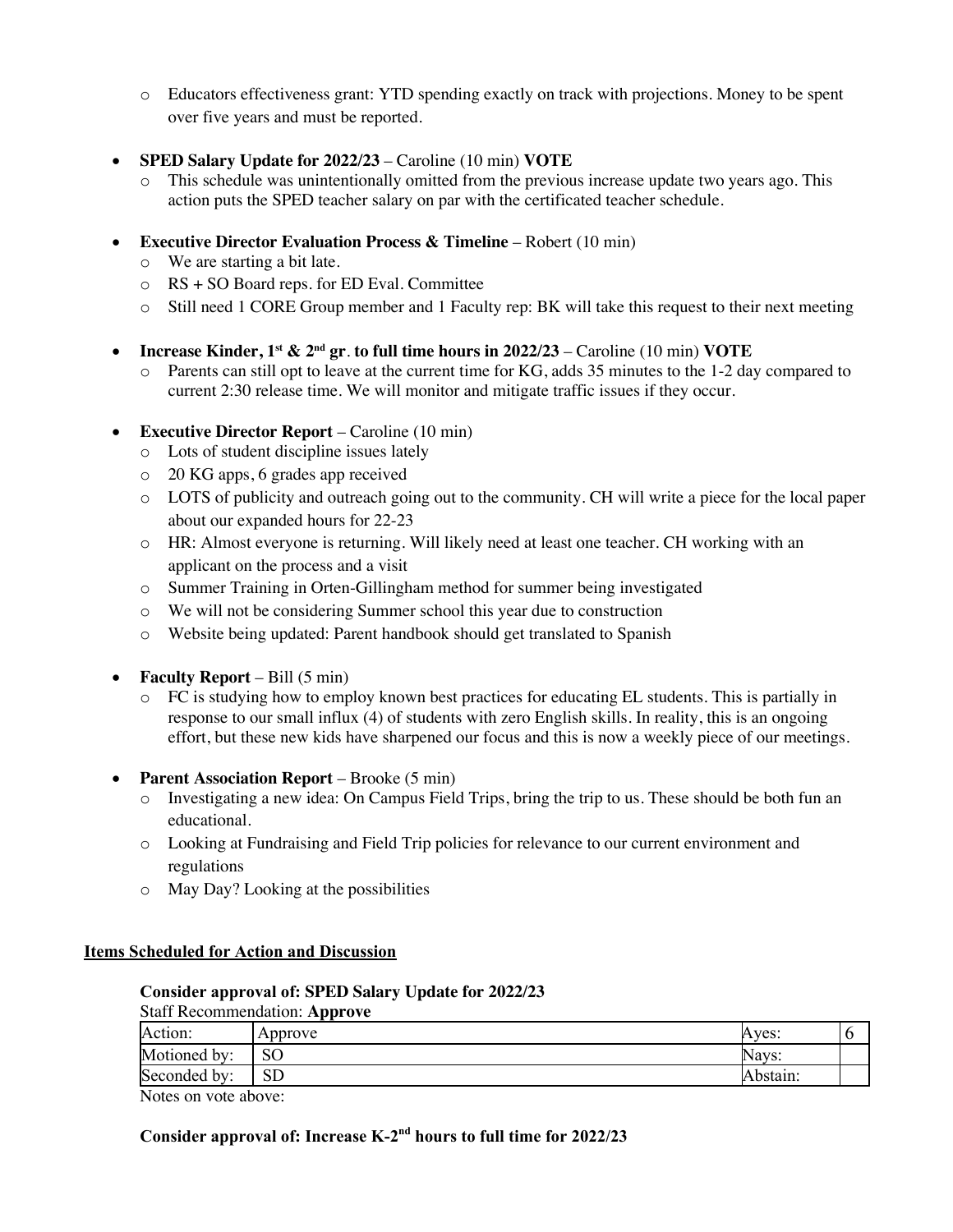- o Educators effectiveness grant: YTD spending exactly on track with projections. Money to be spent over five years and must be reported.
- **SPED Salary Update for 2022/23** Caroline (10 min) **VOTE**
	- o This schedule was unintentionally omitted from the previous increase update two years ago. This action puts the SPED teacher salary on par with the certificated teacher schedule.
- **Executive Director Evaluation Process & Timeline** Robert (10 min)
	- o We are starting a bit late.
	- o RS + SO Board reps. for ED Eval. Committee
	- o Still need 1 CORE Group member and 1 Faculty rep: BK will take this request to their next meeting
- **Increase Kinder, 1st & 2nd gr**. **to full time hours in 2022/23** Caroline (10 min) **VOTE**
	- o Parents can still opt to leave at the current time for KG, adds 35 minutes to the 1-2 day compared to current 2:30 release time. We will monitor and mitigate traffic issues if they occur.
- **Executive Director Report** Caroline (10 min)
	- o Lots of student discipline issues lately
	- o 20 KG apps, 6 grades app received
	- o LOTS of publicity and outreach going out to the community. CH will write a piece for the local paper about our expanded hours for 22-23
	- o HR: Almost everyone is returning. Will likely need at least one teacher. CH working with an applicant on the process and a visit
	- o Summer Training in Orten-Gillingham method for summer being investigated
	- o We will not be considering Summer school this year due to construction
	- o Website being updated: Parent handbook should get translated to Spanish
- **Faculty Report** Bill (5 min)
	- o FC is studying how to employ known best practices for educating EL students. This is partially in response to our small influx (4) of students with zero English skills. In reality, this is an ongoing effort, but these new kids have sharpened our focus and this is now a weekly piece of our meetings.
- **Parent Association Report** Brooke (5 min)
	- o Investigating a new idea: On Campus Field Trips, bring the trip to us. These should be both fun an educational.
	- o Looking at Fundraising and Field Trip policies for relevance to our current environment and regulations
	- o May Day? Looking at the possibilities

## **Items Scheduled for Action and Discussion**

# **Consider approval of: SPED Salary Update for 2022/23**

|               | <b>Staff Recommendation: Approve</b> |          |  |
|---------------|--------------------------------------|----------|--|
| Action:       | Approve                              | Aves:    |  |
| Motioned by:  | SO                                   | Navs:    |  |
| Seconded by:  | $_{\rm SD}$                          | Abstain: |  |
| $\sim$ $\sim$ |                                      |          |  |

Notes on vote above:

# **Consider approval of: Increase K-2nd hours to full time for 2022/23**